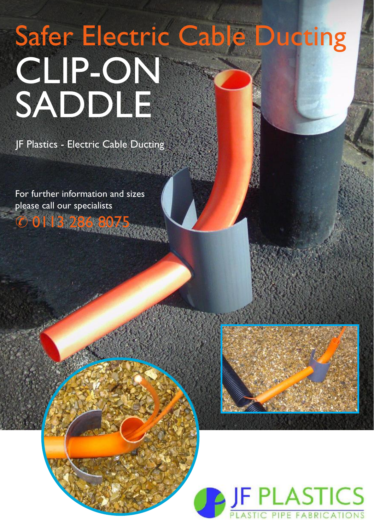## CLIP-ON SADDLE Safer Electric Cable Ducting

JF Plastics - Electric Cable Ducting

For further information and sizes please call our specialists & 0113 286 8075